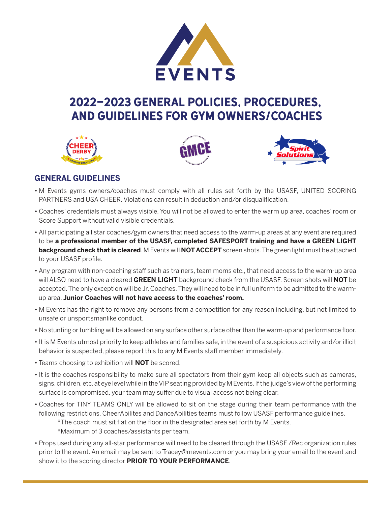

# 2022-2023 GENERAL POLICIES, PROCEDURES, and GUIDELINES FOR GYM OWNERS/COACHES







# **GENERAL GUIDELINES**

- M Events gyms owners/coaches must comply with all rules set forth by the USASF, UNITED SCORING PARTNERS and USA CHEER. Violations can result in deduction and/or disqualification.
- Coaches' credentials must always visible. You will not be allowed to enter the warm up area, coaches' room or Score Support without valid visible credentials.
- All participating all star coaches/gym owners that need access to the warm-up areas at any event are required to be **a professional member of the USASF, completed SAFESPORT training and have a GREEN LIGHT background check that is cleared**. M Events will **NOT ACCEPT** screen shots. The green light must be attached to your USASF profile.
- Any program with non-coaching staff such as trainers, team moms etc., that need access to the warm-up area will ALSO need to have a cleared **GREEN LIGHT** background check from the USASF. Screen shots will **NOT** be accepted. The only exception will be Jr. Coaches. They will need to be in full uniform to be admitted to the warmup area. **Junior Coaches will not have access to the coaches' room.**
- M Events has the right to remove any persons from a competition for any reason including, but not limited to unsafe or unsportsmanlike conduct.
- No stunting or tumbling will be allowed on any surface other surface other than the warm-up and performance floor.
- It is M Events utmost priority to keep athletes and families safe, in the event of a suspicious activity and/or illicit behavior is suspected, please report this to any M Events staff member immediately.
- Teams choosing to exhibition will **NOT** be scored.
- It is the coaches responsibility to make sure all spectators from their gym keep all objects such as cameras, signs, children, etc. at eye level while in the VIP seating provided by M Events. If the judge's view of the performing surface is compromised, your team may suffer due to visual access not being clear.
- Coaches for TINY TEAMS ONLY will be allowed to sit on the stage during their team performance with the following restrictions. CheerAbilites and DanceAbilities teams must follow USASF performance guidelines.
	- \*The coach must sit flat on the floor in the designated area set forth by M Events.
	- \*Maximum of 3 coaches/assistants per team.
- Props used during any all-star performance will need to be cleared through the USASF /Rec organization rules prior to the event. An email may be sent to [Tracey@mevents.com or](mailto:Tracey@mevents.com) you may bring your email to the event and show it to the scoring director **PRIOR TO YOUR PERFORMANCE**.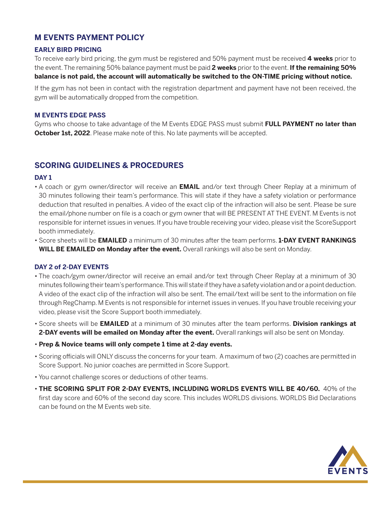### **M EVENTS PAYMENT POLICY**

#### **EARLY BIRD PRICING**

To receive early bird pricing, the gym must be registered and 50% payment must be received **4 weeks** prior to the event. The remaining 50% balance payment must be paid **2 weeks** prior to the event. **If the remaining 50% balance is not paid, the account will automatically be switched to the ON-TIME pricing without notice.**

If the gym has not been in contact with the registration department and payment have not been received, the gym will be automatically dropped from the competition.

#### **M EVENTS EDGE PASS**

Gyms who choose to take advantage of the M Events EDGE PASS must submit **FULL PAYMENT no later than October 1st, 2022**. Please make note of this. No late payments will be accepted.

### **SCORING GUIDELINES & PROCEDURES**

#### **DAY 1**

- A coach or gym owner/director will receive an **EMAIL** and/or text through Cheer Replay at a minimum of 30 minutes following their team's performance. This will state if they have a safety violation or performance deduction that resulted in penalties. A video of the exact clip of the infraction will also be sent. Please be sure the email/phone number on file is a coach or gym owner that will BE PRESENT AT THE EVENT. M Events is not responsible for internet issues in venues. If you have trouble receiving your video, please visit the ScoreSupport booth immediately.
- Score sheets will be **EMAILED** a minimum of 30 minutes after the team performs. **1-DAY EVENT RANKINGS WILL BE EMAILED on Monday after the event.** Overall rankings will also be sent on Monday.

#### **DAY 2 of 2-DAY EVENTS**

- The coach/gym owner/director will receive an email and/or text through Cheer Replay at a minimum of 30 minutes following their team's performance. This will state if they have a safety violation and or a point deduction. A video of the exact clip of the infraction will also be sent. The email/text will be sent to the information on file through RegChamp. M Events is not responsible for internet issues in venues. If you have trouble receiving your video, please visit the Score Support booth immediately.
- Score sheets will be **EMAILED** at a minimum of 30 minutes after the team performs. **Division rankings at 2-DAY events will be emailed on Monday after the event.** Overall rankings will also be sent on Monday.
- **Prep & Novice teams will only compete 1 time at 2-day events.**
- Scoring officials will ONLY discuss the concerns for your team. A maximum of two (2) coaches are permitted in Score Support. No junior coaches are permitted in Score Support.
- You cannot challenge scores or deductions of other teams.
- **THE SCORING SPLIT FOR 2-DAY EVENTS, INCLUDING WORLDS EVENTS WILL BE 40/60.** 40% of the first day score and 60% of the second day score. This includes WORLDS divisions. WORLDS Bid Declarations can be found on the M Events web site.

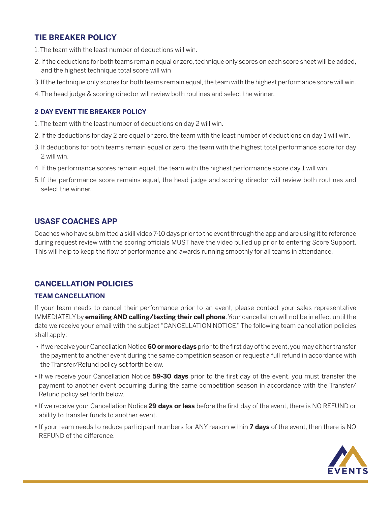# **TIE BREAKER POLICY**

- 1. The team with the least number of deductions will win.
- 2. If the deductions for both teams remain equal or zero, technique only scores on each score sheet will be added, and the highest technique total score will win
- 3. If the technique only scores for both teams remain equal, the team with the highest performance score will win.
- 4. The head judge & scoring director will review both routines and select the winner.

#### **2-DAY EVENT TIE BREAKER POLICY**

- 1. The team with the least number of deductions on day 2 will win.
- 2. If the deductions for day 2 are equal or zero, the team with the least number of deductions on day 1 will win.
- 3. If deductions for both teams remain equal or zero, the team with the highest total performance score for day 2 will win.
- 4. If the performance scores remain equal, the team with the highest performance score day 1 will win.
- 5. If the performance score remains equal, the head judge and scoring director will review both routines and select the winner.

### **USASF COACHES APP**

Coaches who have submitted a skill video 7-10 days prior to the event through the app and are using it to reference during request review with the scoring officials MUST have the video pulled up prior to entering Score Support. This will help to keep the flow of performance and awards running smoothly for all teams in attendance.

### **CANCELLATION POLICIES**

#### **TEAM CANCELLATION**

If your team needs to cancel their performance prior to an event, please contact your sales representative IMMEDIATELY by **emailing AND calling/texting their cell phone**. Your cancellation will not be in effect until the date we receive your email with the subject "CANCELLATION NOTICE." The following team cancellation policies shall apply:

- If we receive your Cancellation Notice **60 or more days** prior to the first day of the event, you may either transfer the payment to another event during the same competition season or request a full refund in accordance with the Transfer/Refund policy set forth below.
- If we receive your Cancellation Notice **59-30 days** prior to the first day of the event, you must transfer the payment to another event occurring during the same competition season in accordance with the Transfer/ Refund policy set forth below.
- If we receive your Cancellation Notice **29 days or less** before the first day of the event, there is NO REFUND or ability to transfer funds to another event.
- If your team needs to reduce participant numbers for ANY reason within **7 days** of the event, then there is NO REFUND of the difference.

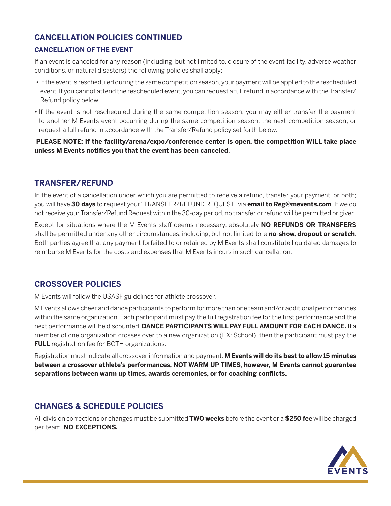# **CANCELLATION POLICIES CONTINUED**

#### **CANCELLATION OF THE EVENT**

If an event is canceled for any reason (including, but not limited to, closure of the event facility, adverse weather conditions, or natural disasters) the following policies shall apply:

- If the event is rescheduled during the same competition season, your payment will be applied to the rescheduled event. If you cannot attend the rescheduled event, you can request a full refund in accordance with the Transfer/ Refund policy below.
- If the event is not rescheduled during the same competition season, you may either transfer the payment to another M Events event occurring during the same competition season, the next competition season, or request a full refund in accordance with the Transfer/Refund policy set forth below.

**PLEASE NOTE: If the facility/arena/expo/conference center is open, the competition WILL take place unless M Events notifies you that the event has been canceled**.

### **TRANSFER/REFUND**

In the event of a cancellation under which you are permitted to receive a refund, transfer your payment, or both; you will have **30 days** to request your "TRANSFER/REFUND REQUEST" via **email to [Reg@mevents.com](mailto:Reg@mevents.com)**. If we do not receive your Transfer/Refund Request within the 30-day period, no transfer or refund will be permitted or given.

Except for situations where the M Events staff deems necessary, absolutely **NO REFUNDS OR TRANSFERS**  shall be permitted under any other circumstances, including, but not limited to, a **no-show, dropout or scratch**. Both parties agree that any payment forfeited to or retained by M Events shall constitute liquidated damages to reimburse M Events for the costs and expenses that M Events incurs in such cancellation.

### **CROSSOVER POLICIES**

M Events will follow the USASF guidelines for athlete crossover.

M Events allows cheer and dance participants to perform for more than one team and/or additional performances within the same organization. Each participant must pay the full registration fee for the first performance and the next performance will be discounted. **DANCE PARTICIPANTS WILL PAY FULL AMOUNT FOR EACH DANCE.** If a member of one organization crosses over to a new organization (EX: School), then the participant must pay the **FULL** registration fee for BOTH organizations.

Registration must indicate all crossover information and payment. **M Events will do its best to allow 15 minutes between a crossover athlete's performances, NOT WARM UP TIMES**; **however, M Events cannot guarantee separations between warm up times, awards ceremonies, or for coaching conflicts.**

# **CHANGES & SCHEDULE POLICIES**

All division corrections or changes must be submitted **TWO weeks** before the event or a **\$250 fee** will be charged per team. **NO EXCEPTIONS.**

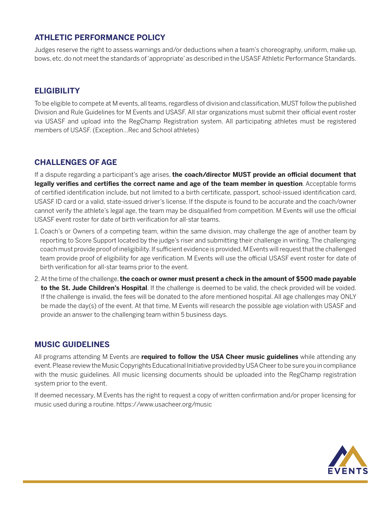### **ATHLETIC PERFORMANCE POLICY**

Judges reserve the right to assess warnings and/or deductions when a team's choreography, uniform, make up, bows, etc. do not meet the standards of 'appropriate' as described in the USASF Athletic Performance Standards.

### **ELIGIBILITY**

To be eligible to compete at M events, all teams, regardless of division and classification, MUST follow the published Division and Rule Guidelines for M Events and USASF. All star organizations must submit their official event roster via USASF and upload into the RegChamp Registration system. All participating athletes must be registered members of USASF. (Exception…Rec and School athletes)

### **CHALLENGES OF AGE**

If a dispute regarding a participant's age arises, **the coach/director MUST provide an official document that legally verifies and certifies the correct name and age of the team member in question**. Acceptable forms of certified identification include, but not limited to a birth certificate, passport, school-issued identification card, USASF ID card or a valid, state-issued driver's license. If the dispute is found to be accurate and the coach/owner cannot verify the athlete's legal age, the team may be disqualified from competition. M Events will use the official USASF event roster for date of birth verification for all-star teams.

- 1. Coach's or Owners of a competing team, within the same division, may challenge the age of another team by reporting to Score Support located by the judge's riser and submitting their challenge in writing. The challenging coach must provide proof of ineligibility. If sufficient evidence is provided, M Events will request that the challenged team provide proof of eligibility for age verification. M Events will use the official USASF event roster for date of birth verification for all-star teams prior to the event.
- 2. At the time of the challenge, **the coach or owner must present a check in the amount of \$500 made payable to the St. Jude Children's Hospital**. If the challenge is deemed to be valid, the check provided will be voided. If the challenge is invalid, the fees will be donated to the afore mentioned hospital. All age challenges may ONLY be made the day(s) of the event. At that time, M Events will research the possible age violation with USASF and provide an answer to the challenging team within 5 business days.

### **MUSIC GUIDELINES**

All programs attending M Events are **required to follow the USA Cheer music guidelines** while attending any event. Please review the Music Copyrights Educational Initiative provided by USA Cheer to be sure you in compliance with the music guidelines. All music licensing documents should be uploaded into the RegChamp registration system prior to the event.

If deemed necessary, M Events has the right to request a copy of written confirmation and/or proper licensing for music used during a routine. https://www.usacheer.org/music

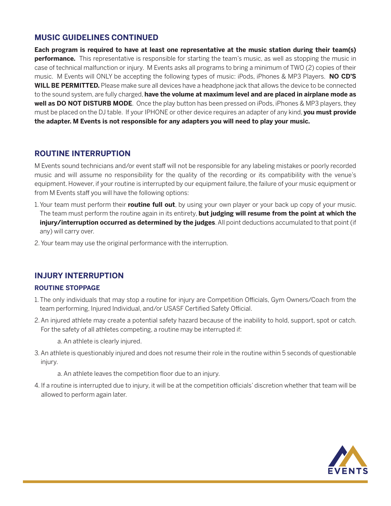### **MUSIC GUIDELINES CONTINUED**

**Each program is required to have at least one representative at the music station during their team(s) performance.** This representative is responsible for starting the team's music, as well as stopping the music in case of technical malfunction or injury. M Events asks all programs to bring a minimum of TWO (2) copies of their music. M Events will ONLY be accepting the following types of music: iPods, iPhones & MP3 Players. **NO CD'S WILL BE PERMITTED.** Please make sure all devices have a headphone jack that allows the device to be connected to the sound system, are fully charged, **have the volume at maximum level and are placed in airplane mode as well as DO NOT DISTURB MODE**. Once the play button has been pressed on iPods, iPhones & MP3 players, they must be placed on the DJ table. If your IPHONE or other device requires an adapter of any kind, **you must provide the adapter. M Events is not responsible for any adapters you will need to play your music.**

### **ROUTINE INTERRUPTION**

M Events sound technicians and/or event staff will not be responsible for any labeling mistakes or poorly recorded music and will assume no responsibility for the quality of the recording or its compatibility with the venue's equipment. However, if your routine is interrupted by our equipment failure, the failure of your music equipment or from M Events staff you will have the following options:

- 1. Your team must perform their **routine full out**, by using your own player or your back up copy of your music. The team must perform the routine again in its entirety, **but judging will resume from the point at which the injury/interruption occurred as determined by the judges**. All point deductions accumulated to that point (if any) will carry over.
- 2. Your team may use the original performance with the interruption.

### **INJURY INTERRUPTION**

#### **ROUTINE STOPPAGE**

- 1. The only individuals that may stop a routine for injury are Competition Officials, Gym Owners/Coach from the team performing, Injured Individual, and/or USASF Certified Safety Official.
- 2. An injured athlete may create a potential safety hazard because of the inability to hold, support, spot or catch. For the safety of all athletes competing, a routine may be interrupted if:

a. An athlete is clearly injured.

3. An athlete is questionably injured and does not resume their role in the routine within 5 seconds of questionable injury.

a. An athlete leaves the competition floor due to an injury.

4. If a routine is interrupted due to injury, it will be at the competition officials' discretion whether that team will be allowed to perform again later.

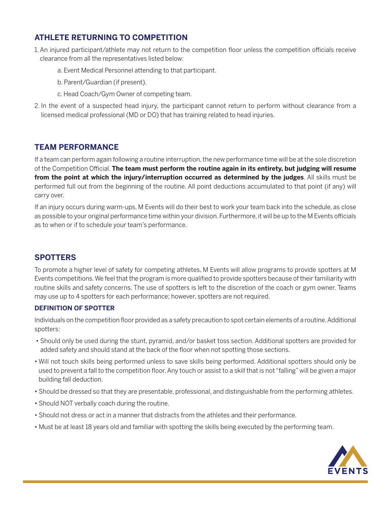# **ATHLETE RETURNING TO COMPETITION**

- 1. An injured participant/athlete may not return to the competition floor unless the competition officials receive clearance from all the representatives listed below:
	- a. Event Medical Personnel attending to that participant.
	- b. Parent/Guardian (if present).
	- c. Head Coach/Gym Owner of competing team.
- 2. In the event of a suspected head injury, the participant cannot return to perform without clearance from a licensed medical professional (MD or DO) that has training related to head injuries.

### **TEAM PERFORMANCE**

If a team can perform again following a routine interruption, the new performance time will be at the sole discretion of the Competition Official. **The team must perform the routine again in its entirety, but judging will resume from the point at which the injury/interruption occurred as determined by the judges**. All skills must be performed full out from the beginning of the routine. All point deductions accumulated to that point (if any) will carry over.

If an injury occurs during warm-ups, M Events will do their best to work your team back into the schedule, as close as possible to your original performance time within your division. Furthermore, it will be up to the M Events officials as to when or if to schedule your team's performance.

### **SPOTTERS**

To promote a higher level of safety for competing athletes, M Events will allow programs to provide spotters at M Events competitions. We feel that the program is more qualified to provide spotters because of their familiarity with routine skills and safety concerns. The use of spotters is left to the discretion of the coach or gym owner. Teams may use up to 4 spotters for each performance; however, spotters are not required.

#### **DEFINITION OF SPOTTER**

Individuals on the competition floor provided as a safety precaution to spot certain elements of a routine. Additional spotters:

- Should only be used during the stunt, pyramid, and/or basket toss section. Additional spotters are provided for added safety and should stand at the back of the floor when not spotting those sections.
- Will not touch skills being performed unless to save skills being performed. Additional spotters should only be used to prevent a fall to the competition floor. Any touch or assist to a skill that is not "falling" will be given a major building fall deduction.
- Should be dressed so that they are presentable, professional, and distinguishable from the performing athletes.
- Should NOT verbally coach during the routine.
- Should not dress or act in a manner that distracts from the athletes and their performance.
- Must be at least 18 years old and familiar with spotting the skills being executed by the performing team.